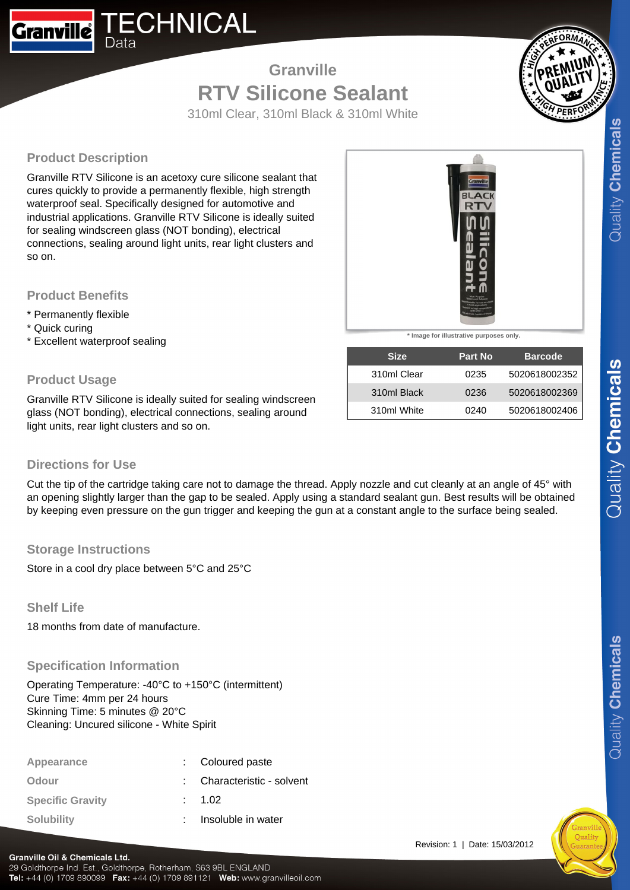

# **Granville RTV Silicone Sealant**



310ml Clear, 310ml Black & 310ml White

# **Product Description**

Granville RTV Silicone is an acetoxy cure silicone sealant that cures quickly to provide a permanently flexible, high strength waterproof seal. Specifically designed for automotive and industrial applications. Granville RTV Silicone is ideally suited for sealing windscreen glass (NOT bonding), electrical connections, sealing around light units, rear light clusters and so on.

### **Product Benefits**

- \* Permanently flexible
- \* Quick curing
- \* Excellent waterproof sealing

## **Product Usage**

Granville RTV Silicone is ideally suited for sealing windscreen glass (NOT bonding), electrical connections, sealing around light units, rear light clusters and so on.

| <b>Directions for Use</b> |  |  |
|---------------------------|--|--|
|---------------------------|--|--|

Cut the tip of the cartridge taking care not to damage the thread. Apply nozzle and cut cleanly at an angle of 45° with an opening slightly larger than the gap to be sealed. Apply using a standard sealant gun. Best results will be obtained by keeping even pressure on the gun trigger and keeping the gun at a constant angle to the surface being sealed.

### **Storage Instructions**

Store in a cool dry place between 5°C and 25°C

### **Shelf Life**

18 months from date of manufacture.

### **Specification Information**

Operating Temperature: -40°C to +150°C (intermittent) Cure Time: 4mm per 24 hours Skinning Time: 5 minutes @ 20°C Cleaning: Uncured silicone - White Spirit

| Appearance              | : Coloured paste           |
|-------------------------|----------------------------|
| Odour                   | : Characteristic - solvent |
| <b>Specific Gravity</b> | : 1.02                     |
| <b>Solubility</b>       | Insoluble in water         |



**\* Image for illustrative purposes only.**

| <b>Size</b> | <b>Part No.</b> | <b>Barcode</b> |
|-------------|-----------------|----------------|
| 310ml Clear | 0235            | 5020618002352  |
| 310ml Black | 0236            | 5020618002369  |
| 310ml White | 0240            | 5020618002406  |



#### **Granville Oil & Chemicals Ltd.**

29 Goldthorpe Ind. Est., Goldthorpe, Rotherham, S63 9BL ENGLAND Tel: +44 (0) 1709 890099 Fax: +44 (0) 1709 891121 Web: www.granvilleoil.com